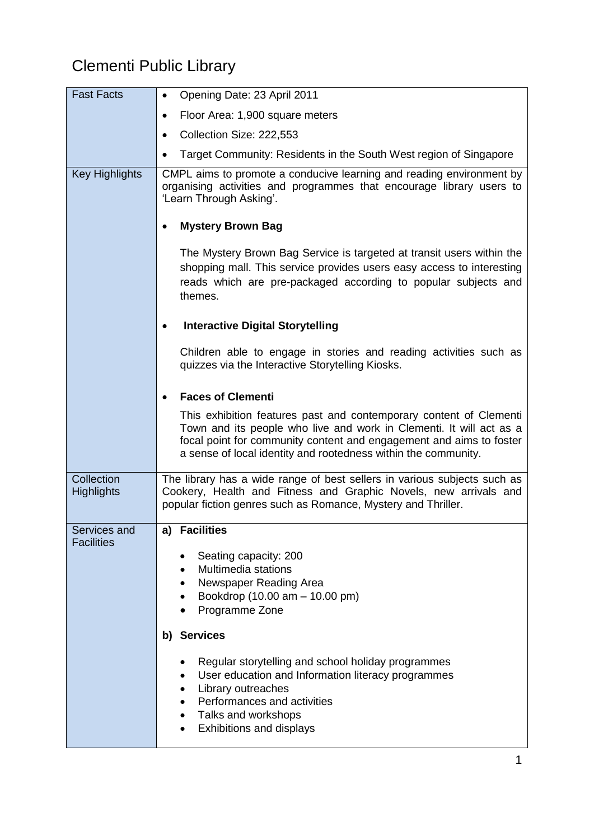## Clementi Public Library

| <b>Fast Facts</b>               | Opening Date: 23 April 2011<br>$\bullet$                                                                                                                                                                                                                                           |
|---------------------------------|------------------------------------------------------------------------------------------------------------------------------------------------------------------------------------------------------------------------------------------------------------------------------------|
|                                 | Floor Area: 1,900 square meters<br>$\bullet$                                                                                                                                                                                                                                       |
|                                 | Collection Size: 222,553<br>$\bullet$                                                                                                                                                                                                                                              |
|                                 | Target Community: Residents in the South West region of Singapore                                                                                                                                                                                                                  |
| <b>Key Highlights</b>           | CMPL aims to promote a conducive learning and reading environment by<br>organising activities and programmes that encourage library users to<br>'Learn Through Asking'.                                                                                                            |
|                                 | <b>Mystery Brown Bag</b>                                                                                                                                                                                                                                                           |
|                                 | The Mystery Brown Bag Service is targeted at transit users within the<br>shopping mall. This service provides users easy access to interesting<br>reads which are pre-packaged according to popular subjects and<br>themes.                                                        |
|                                 | <b>Interactive Digital Storytelling</b><br>٠                                                                                                                                                                                                                                       |
|                                 | Children able to engage in stories and reading activities such as<br>quizzes via the Interactive Storytelling Kiosks.                                                                                                                                                              |
|                                 | <b>Faces of Clementi</b>                                                                                                                                                                                                                                                           |
|                                 | This exhibition features past and contemporary content of Clementi<br>Town and its people who live and work in Clementi. It will act as a<br>focal point for community content and engagement and aims to foster<br>a sense of local identity and rootedness within the community. |
| Collection<br><b>Highlights</b> | The library has a wide range of best sellers in various subjects such as<br>Cookery, Health and Fitness and Graphic Novels, new arrivals and<br>popular fiction genres such as Romance, Mystery and Thriller.                                                                      |
| Services and                    | <b>Facilities</b><br>a)                                                                                                                                                                                                                                                            |
| <b>Facilities</b>               | Seating capacity: 200<br>Multimedia stations<br>Newspaper Reading Area<br>Bookdrop (10.00 am - 10.00 pm)<br>Programme Zone                                                                                                                                                         |
|                                 | b) Services                                                                                                                                                                                                                                                                        |
|                                 | Regular storytelling and school holiday programmes<br>User education and Information literacy programmes<br>Library outreaches<br>Performances and activities<br>Talks and workshops<br>Exhibitions and displays                                                                   |